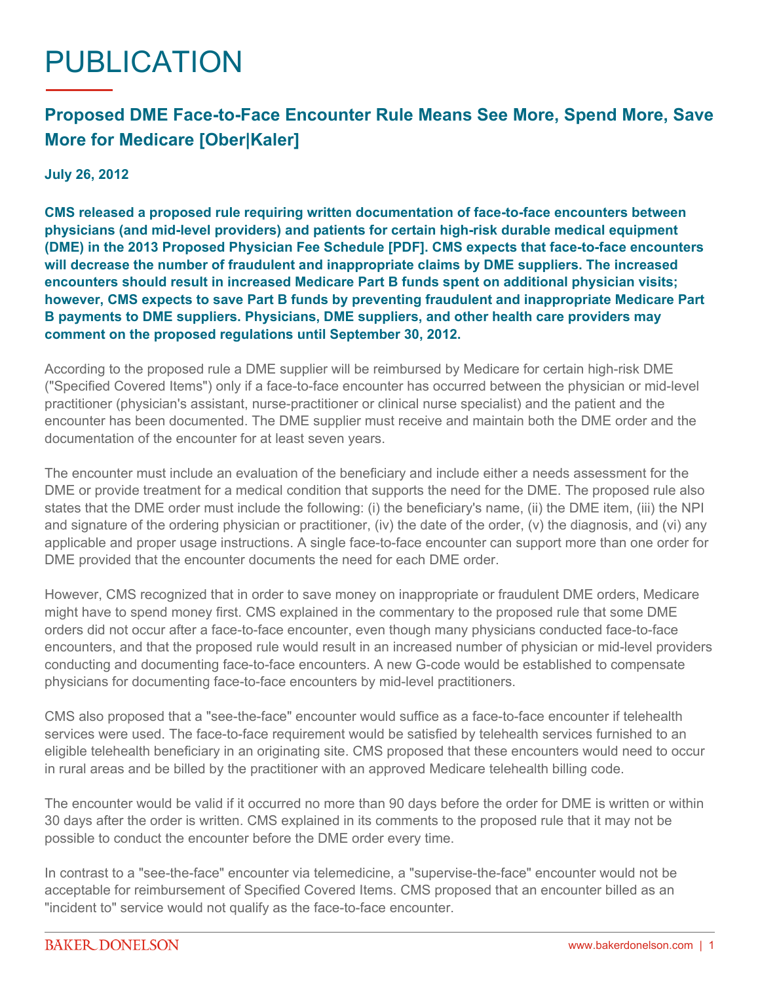## PUBLICATION

## **Proposed DME Face-to-Face Encounter Rule Means See More, Spend More, Save More for Medicare [Ober|Kaler]**

**July 26, 2012**

**CMS released a proposed rule requiring written documentation of face-to-face encounters between physicians (and mid-level providers) and patients for certain high-risk durable medical equipment (DME) in the [2013 Proposed Physician Fee Schedule \[PDF\]](https://s3.amazonaws.com/public-inspection.federalregister.gov/2012-16814.pdf). CMS expects that face-to-face encounters will decrease the number of fraudulent and inappropriate claims by DME suppliers. The increased encounters should result in increased Medicare Part B funds spent on additional physician visits; however, CMS expects to save Part B funds by preventing fraudulent and inappropriate Medicare Part B payments to DME suppliers. Physicians, DME suppliers, and other health care providers may comment on the proposed regulations until September 30, 2012.**

According to the proposed rule a DME supplier will be reimbursed by Medicare for certain high-risk DME ("Specified Covered Items") only if a face-to-face encounter has occurred between the physician or mid-level practitioner (physician's assistant, nurse-practitioner or clinical nurse specialist) and the patient and the encounter has been documented. The DME supplier must receive and maintain both the DME order and the documentation of the encounter for at least seven years.

The encounter must include an evaluation of the beneficiary and include either a needs assessment for the DME or provide treatment for a medical condition that supports the need for the DME. The proposed rule also states that the DME order must include the following: (i) the beneficiary's name, (ii) the DME item, (iii) the NPI and signature of the ordering physician or practitioner, (iv) the date of the order, (v) the diagnosis, and (vi) any applicable and proper usage instructions. A single face-to-face encounter can support more than one order for DME provided that the encounter documents the need for each DME order.

However, CMS recognized that in order to save money on inappropriate or fraudulent DME orders, Medicare might have to spend money first. CMS explained in the commentary to the proposed rule that some DME orders did not occur after a face-to-face encounter, even though many physicians conducted face-to-face encounters, and that the proposed rule would result in an increased number of physician or mid-level providers conducting and documenting face-to-face encounters. A new G-code would be established to compensate physicians for documenting face-to-face encounters by mid-level practitioners.

CMS also proposed that a "see-the-face" encounter would suffice as a face-to-face encounter if telehealth services were used. The face-to-face requirement would be satisfied by telehealth services furnished to an eligible telehealth beneficiary in an originating site. CMS proposed that these encounters would need to occur in rural areas and be billed by the practitioner with an approved Medicare telehealth billing code.

The encounter would be valid if it occurred no more than 90 days before the order for DME is written or within 30 days after the order is written. CMS explained in its comments to the proposed rule that it may not be possible to conduct the encounter before the DME order every time.

In contrast to a "see-the-face" encounter via telemedicine, a "supervise-the-face" encounter would not be acceptable for reimbursement of Specified Covered Items. CMS proposed that an encounter billed as an "incident to" service would not qualify as the face-to-face encounter.